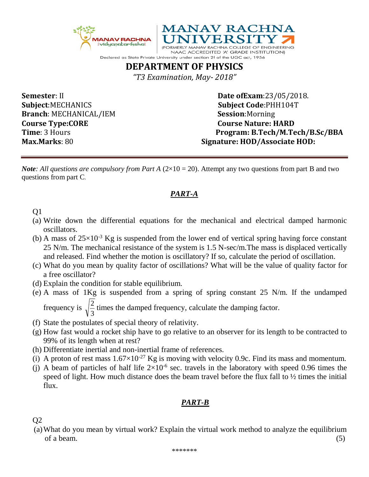



Declared as State Private University under section 2f of the UGC act, 1956 **DEPARTMENT OF PHYSICS**

*"T3 Examination, May- 2018"*

**Subject**:MECHANICS **Subject Code**:PHH104T **Branch**: MECHANICAL/IEM **Session**:Morning **Course Type:CORE** Course Nature: **HARD** 

**Semester**: II **Date of Exam**:23/05/2018. **Time**: 3 Hours **Program: B.Tech/M.Tech/B.Sc/BBA Max.Marks**: 80 **Signature: HOD/Associate HOD:**

*Note: All questions are compulsory from Part A*  $(2\times10 = 20)$ . Attempt any two questions from part B and two questions from part C.

## *PART-A*

- Q1
- (a) Write down the differential equations for the mechanical and electrical damped harmonic oscillators.
- (b) A mass of  $25\times10^{-3}$  Kg is suspended from the lower end of vertical spring having force constant 25 N/m. The mechanical resistance of the system is 1.5 N-sec/m.The mass is displaced vertically and released. Find whether the motion is oscillatory? If so, calculate the period of oscillation.
- (c) What do you mean by quality factor of oscillations? What will be the value of quality factor for a free oscillator?
- (d) Explain the condition for stable equilibrium.
- (e) A mass of 1Kg is suspended from a spring of spring constant 25 N/m. If the undamped  $\frac{2}{5}$  times the damped frequency, calculate the damping factor.

frequency is  $\sqrt{\frac{2}{3}}$ 

- (f) State the postulates of special theory of relativity.
- (g) How fast would a rocket ship have to go relative to an observer for its length to be contracted to 99% of its length when at rest?
- (h) Differentiate inertial and non-inertial frame of references.
- (i) A proton of rest mass  $1.67 \times 10^{-27}$  Kg is moving with velocity 0.9c. Find its mass and momentum.
- (j) A beam of particles of half life  $2\times10^{-6}$  sec. travels in the laboratory with speed 0.96 times the speed of light. How much distance does the beam travel before the flux fall to ½ times the initial flux.

## *PART-B*

Q2

(a)What do you mean by virtual work? Explain the virtual work method to analyze the equilibrium  $\sigma$  a beam. (5)